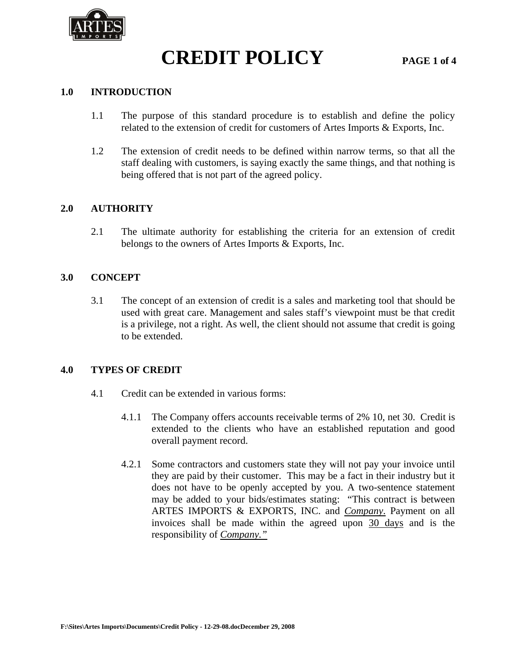

# **CREDIT POLICY PAGE 1 of 4**

#### **1.0 INTRODUCTION**

- 1.1 The purpose of this standard procedure is to establish and define the policy related to the extension of credit for customers of Artes Imports & Exports, Inc.
- 1.2 The extension of credit needs to be defined within narrow terms, so that all the staff dealing with customers, is saying exactly the same things, and that nothing is being offered that is not part of the agreed policy.

#### **2.0 AUTHORITY**

2.1 The ultimate authority for establishing the criteria for an extension of credit belongs to the owners of Artes Imports & Exports, Inc.

#### **3.0 CONCEPT**

3.1 The concept of an extension of credit is a sales and marketing tool that should be used with great care. Management and sales staff's viewpoint must be that credit is a privilege, not a right. As well, the client should not assume that credit is going to be extended.

#### **4.0 TYPES OF CREDIT**

- 4.1 Credit can be extended in various forms:
	- 4.1.1 The Company offers accounts receivable terms of 2% 10, net 30. Credit is extended to the clients who have an established reputation and good overall payment record.
	- 4.2.1 Some contractors and customers state they will not pay your invoice until they are paid by their customer. This may be a fact in their industry but it does not have to be openly accepted by you. A two-sentence statement may be added to your bids/estimates stating: "This contract is between ARTES IMPORTS & EXPORTS, INC. and *Company*. Payment on all invoices shall be made within the agreed upon 30 days and is the responsibility of *Company."*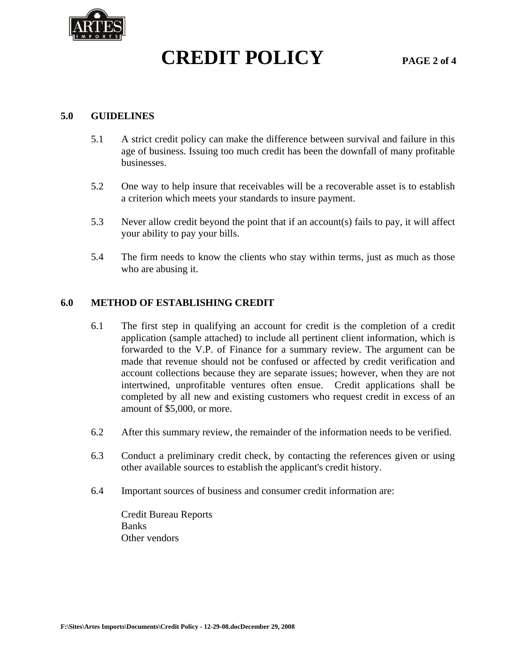

# **CREDIT POLICY PAGE 2 of 4**

### **5.0 GUIDELINES**

- 5.1 A strict credit policy can make the difference between survival and failure in this age of business. Issuing too much credit has been the downfall of many profitable businesses.
- 5.2 One way to help insure that receivables will be a recoverable asset is to establish a criterion which meets your standards to insure payment.
- 5.3 Never allow credit beyond the point that if an account(s) fails to pay, it will affect your ability to pay your bills.
- 5.4 The firm needs to know the clients who stay within terms, just as much as those who are abusing it.

### **6.0 METHOD OF ESTABLISHING CREDIT**

- 6.1 The first step in qualifying an account for credit is the completion of a credit application (sample attached) to include all pertinent client information, which is forwarded to the V.P. of Finance for a summary review. The argument can be made that revenue should not be confused or affected by credit verification and account collections because they are separate issues; however, when they are not intertwined, unprofitable ventures often ensue. Credit applications shall be completed by all new and existing customers who request credit in excess of an amount of \$5,000, or more.
- 6.2 After this summary review, the remainder of the information needs to be verified.
- 6.3 Conduct a preliminary credit check, by contacting the references given or using other available sources to establish the applicant's credit history.
- 6.4 Important sources of business and consumer credit information are:

Credit Bureau Reports **Banks** Other vendors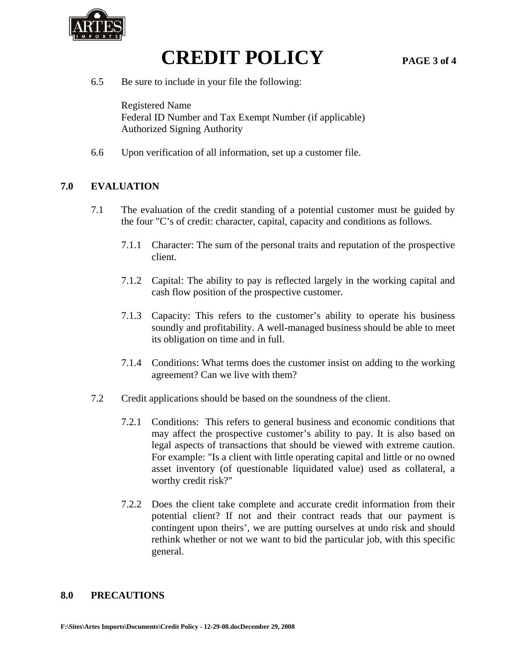

**CREDIT POLICY** PAGE 3 of 4

6.5 Be sure to include in your file the following:

Registered Name Federal ID Number and Tax Exempt Number (if applicable) Authorized Signing Authority

6.6 Upon verification of all information, set up a customer file.

### **7.0 EVALUATION**

- 7.1 The evaluation of the credit standing of a potential customer must be guided by the four "C's of credit: character, capital, capacity and conditions as follows.
	- 7.1.1 Character: The sum of the personal traits and reputation of the prospective client.
	- 7.1.2 Capital: The ability to pay is reflected largely in the working capital and cash flow position of the prospective customer.
	- 7.1.3 Capacity: This refers to the customer's ability to operate his business soundly and profitability. A well-managed business should be able to meet its obligation on time and in full.
	- 7.1.4 Conditions: What terms does the customer insist on adding to the working agreement? Can we live with them?
- 7.2 Credit applications should be based on the soundness of the client.
	- 7.2.1 Conditions: This refers to general business and economic conditions that may affect the prospective customer's ability to pay. It is also based on legal aspects of transactions that should be viewed with extreme caution. For example: "Is a client with little operating capital and little or no owned asset inventory (of questionable liquidated value) used as collateral, a worthy credit risk?"
	- 7.2.2 Does the client take complete and accurate credit information from their potential client? If not and their contract reads that our payment is contingent upon theirs', we are putting ourselves at undo risk and should rethink whether or not we want to bid the particular job, with this specific general.

#### **8.0 PRECAUTIONS**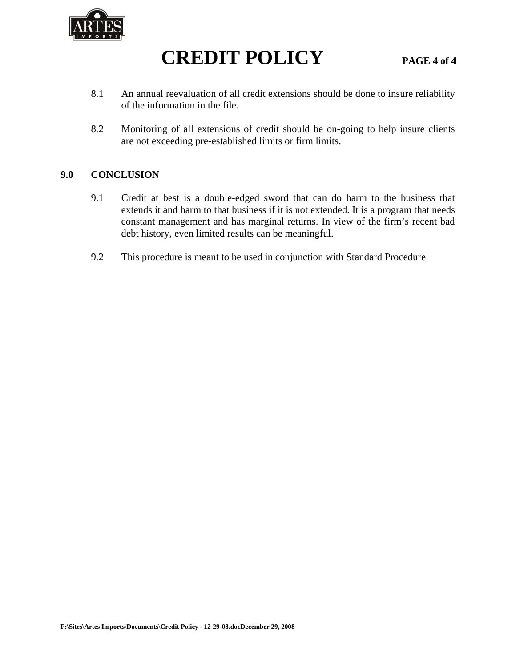

# **CREDIT POLICY PAGE 4 of 4**

- 8.1 An annual reevaluation of all credit extensions should be done to insure reliability of the information in the file.
- 8.2 Monitoring of all extensions of credit should be on-going to help insure clients are not exceeding pre-established limits or firm limits.

### **9.0 CONCLUSION**

- 9.1 Credit at best is a double-edged sword that can do harm to the business that extends it and harm to that business if it is not extended. It is a program that needs constant management and has marginal returns. In view of the firm's recent bad debt history, even limited results can be meaningful.
- 9.2 This procedure is meant to be used in conjunction with Standard Procedure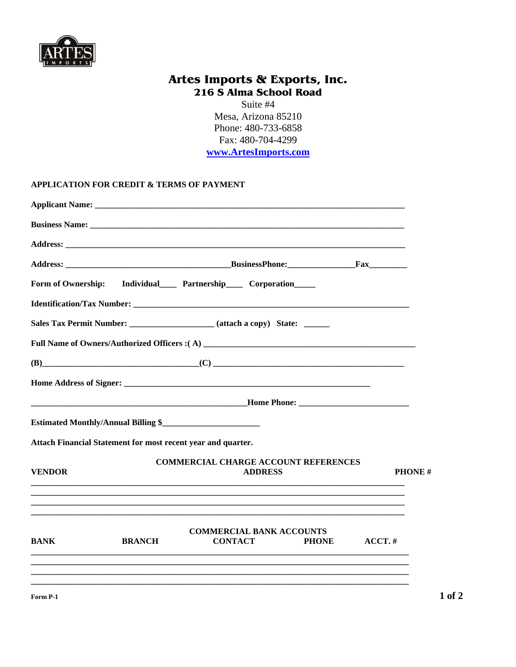

## Artes Imports & Exports, Inc. 216 S Alma School Road

Suite #4 Mesa, Arizona 85210 Phone: 480-733-6858 Fax: 480-704-4299 www.ArtesImports.com

#### APPLICATION FOR CREDIT & TERMS OF PAYMENT

| Form of Ownership: |               | Individual Partnership Corporation                                                                                                                                                                                                   |                                             |            |               |
|--------------------|---------------|--------------------------------------------------------------------------------------------------------------------------------------------------------------------------------------------------------------------------------------|---------------------------------------------|------------|---------------|
|                    |               |                                                                                                                                                                                                                                      |                                             |            |               |
|                    |               | Sales Tax Permit Number: ______________________ (attach a copy) State: _________                                                                                                                                                     |                                             |            |               |
|                    |               |                                                                                                                                                                                                                                      |                                             |            |               |
|                    |               | $(B)$ (B)                                                                                                                                                                                                                            |                                             |            |               |
|                    |               |                                                                                                                                                                                                                                      |                                             |            |               |
|                    |               | <b>Example 20 All Services Controls Control Control Control Control Control Control Control Control Control Control Control Control Control Control Control Control Control Control Control Control Control Control Control Cont</b> |                                             |            |               |
|                    |               | Estimated Monthly/Annual Billing \$                                                                                                                                                                                                  |                                             |            |               |
|                    |               | Attach Financial Statement for most recent year and quarter.                                                                                                                                                                         |                                             |            |               |
| <b>VENDOR</b>      |               | <b>ADDRESS</b>                                                                                                                                                                                                                       | <b>COMMERCIAL CHARGE ACCOUNT REFERENCES</b> |            | <b>PHONE#</b> |
| <b>BANK</b>        | <b>BRANCH</b> | <b>COMMERCIAL BANK ACCOUNTS</b><br><b>CONTACT</b>                                                                                                                                                                                    | <b>PHONE</b>                                | $ACCT. \#$ |               |
| Form P-1           |               |                                                                                                                                                                                                                                      |                                             |            |               |